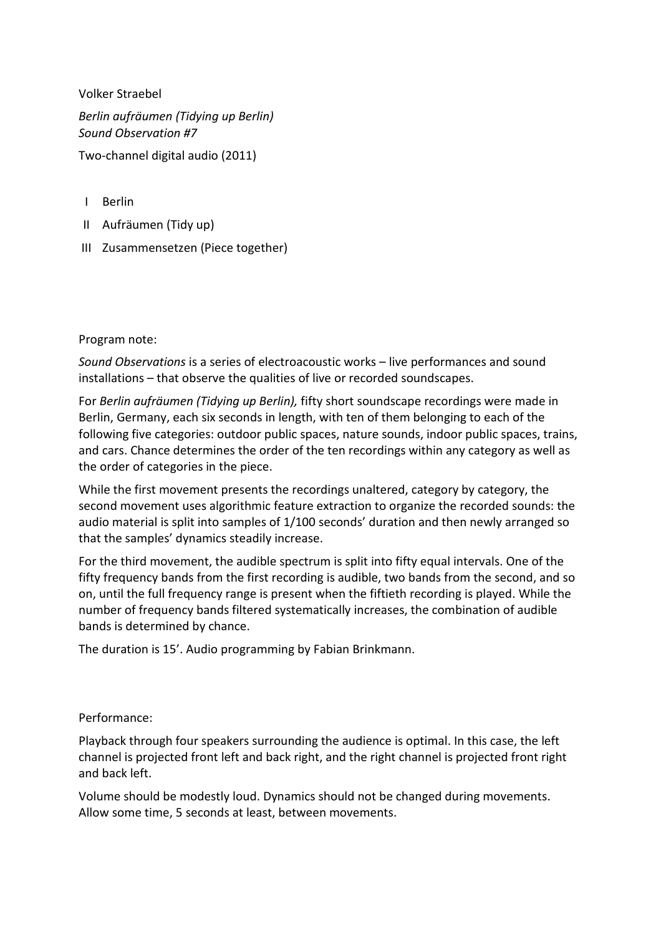Volker Straebel *Berlin aufräumen (Tidying up Berlin) Sound Observation #7*  Two-channel digital audio (2011)

- I Berlin
- II Aufräumen (Tidy up)
- III Zusammensetzen (Piece together)

Program note:

*Sound Observations* is a series of electroacoustic works – live performances and sound installations – that observe the qualities of live or recorded soundscapes.

For *Berlin aufräumen (Tidying up Berlin),* fifty short soundscape recordings were made in Berlin, Germany, each six seconds in length, with ten of them belonging to each of the following five categories: outdoor public spaces, nature sounds, indoor public spaces, trains, and cars. Chance determines the order of the ten recordings within any category as well as the order of categories in the piece.

While the first movement presents the recordings unaltered, category by category, the second movement uses algorithmic feature extraction to organize the recorded sounds: the audio material is split into samples of 1/100 seconds' duration and then newly arranged so that the samples' dynamics steadily increase.

For the third movement, the audible spectrum is split into fifty equal intervals. One of the fifty frequency bands from the first recording is audible, two bands from the second, and so on, until the full frequency range is present when the fiftieth recording is played. While the number of frequency bands filtered systematically increases, the combination of audible bands is determined by chance.

The duration is 15'. Audio programming by Fabian Brinkmann.

## Performance:

Playback through four speakers surrounding the audience is optimal. In this case, the left channel is projected front left and back right, and the right channel is projected front right and back left.

Volume should be modestly loud. Dynamics should not be changed during movements. Allow some time, 5 seconds at least, between movements.